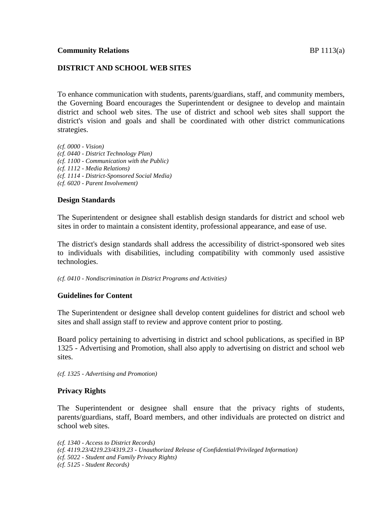## **DISTRICT AND SCHOOL WEB SITES**

To enhance communication with students, parents/guardians, staff, and community members, the Governing Board encourages the Superintendent or designee to develop and maintain district and school web sites. The use of district and school web sites shall support the district's vision and goals and shall be coordinated with other district communications strategies.

*(cf. 0000 - Vision) (cf. 0440 - District Technology Plan) (cf. 1100 - Communication with the Public) (cf. 1112 - Media Relations) (cf. 1114 - District-Sponsored Social Media) (cf. 6020 - Parent Involvement)*

### **Design Standards**

The Superintendent or designee shall establish design standards for district and school web sites in order to maintain a consistent identity, professional appearance, and ease of use.

The district's design standards shall address the accessibility of district-sponsored web sites to individuals with disabilities, including compatibility with commonly used assistive technologies.

*(cf. 0410 - Nondiscrimination in District Programs and Activities)*

### **Guidelines for Content**

The Superintendent or designee shall develop content guidelines for district and school web sites and shall assign staff to review and approve content prior to posting.

Board policy pertaining to advertising in district and school publications, as specified in BP 1325 - Advertising and Promotion, shall also apply to advertising on district and school web sites.

*(cf. 1325 - Advertising and Promotion)*

### **Privacy Rights**

The Superintendent or designee shall ensure that the privacy rights of students, parents/guardians, staff, Board members, and other individuals are protected on district and school web sites.

*(cf. 1340 - Access to District Records)*

- *(cf. 4119.23/4219.23/4319.23 - Unauthorized Release of Confidential/Privileged Information)*
- *(cf. 5022 - Student and Family Privacy Rights)*

*<sup>(</sup>cf. 5125 - Student Records)*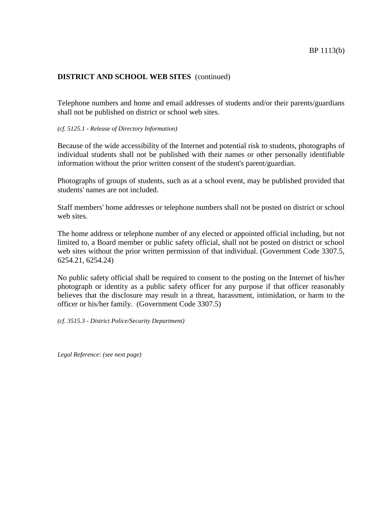## **DISTRICT AND SCHOOL WEB SITES** (continued)

Telephone numbers and home and email addresses of students and/or their parents/guardians shall not be published on district or school web sites.

### *(cf. 5125.1 - Release of Directory Information)*

Because of the wide accessibility of the Internet and potential risk to students, photographs of individual students shall not be published with their names or other personally identifiable information without the prior written consent of the student's parent/guardian.

Photographs of groups of students, such as at a school event, may be published provided that students' names are not included.

Staff members' home addresses or telephone numbers shall not be posted on district or school web sites.

The home address or telephone number of any elected or appointed official including, but not limited to, a Board member or public safety official, shall not be posted on district or school web sites without the prior written permission of that individual. (Government Code 3307.5, 6254.21, 6254.24)

No public safety official shall be required to consent to the posting on the Internet of his/her photograph or identity as a public safety officer for any purpose if that officer reasonably believes that the disclosure may result in a threat, harassment, intimidation, or harm to the officer or his/her family. (Government Code 3307.5)

*(cf. 3515.3 - District Police/Security Department)*

*Legal Reference: (see next page)*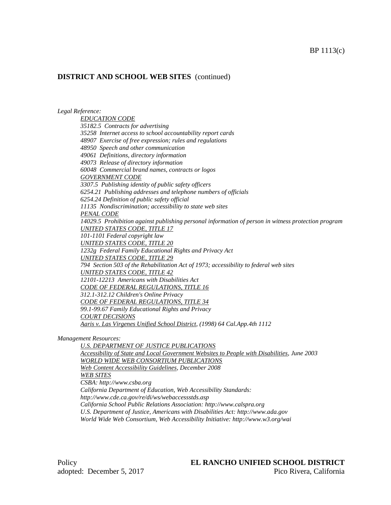# **DISTRICT AND SCHOOL WEB SITES** (continued)

*Legal Reference:*

*EDUCATION CODE 35182.5 Contracts for advertising 35258 Internet access to school accountability report cards 48907 Exercise of free expression; rules and regulations 48950 Speech and other communication 49061 Definitions, directory information 49073 Release of directory information 60048 Commercial brand names, contracts or logos GOVERNMENT CODE 3307.5 Publishing identity of public safety officers 6254.21 Publishing addresses and telephone numbers of officials 6254.24 Definition of public safety official 11135 Nondiscrimination; accessibility to state web sites PENAL CODE 14029.5 Prohibition against publishing personal information of person in witness protection program UNITED STATES CODE, TITLE 17 101-1101 Federal copyright law UNITED STATES CODE, TITLE 20 1232g Federal Family Educational Rights and Privacy Act UNITED STATES CODE, TITLE 29 794 Section 503 of the Rehabilitation Act of 1973; accessibility to federal web sites UNITED STATES CODE, TITLE 42 12101-12213 Americans with Disabilities Act CODE OF FEDERAL REGULATIONS, TITLE 16 312.1-312.12 Children's Online Privacy CODE OF FEDERAL REGULATIONS, TITLE 34 99.1-99.67 Family Educational Rights and Privacy COURT DECISIONS Aaris v. Las Virgenes Unified School District, (1998) 64 Cal.App.4th 1112*

#### *Management Resources:*

*U.S. DEPARTMENT OF JUSTICE PUBLICATIONS Accessibility of State and Local Government Websites to People with Disabilities, June 2003 WORLD WIDE WEB CONSORTIUM PUBLICATIONS Web Content Accessibility Guidelines, December 2008 WEB SITES CSBA: http://www.csba.org California Department of Education, Web Accessibility Standards: http://www.cde.ca.gov/re/di/ws/webaccessstds.asp California School Public Relations Association: http://www.calspra.org U.S. Department of Justice, Americans with Disabilities Act: http://www.ada.gov World Wide Web Consortium, Web Accessibility Initiative: http://www.w3.org/wai*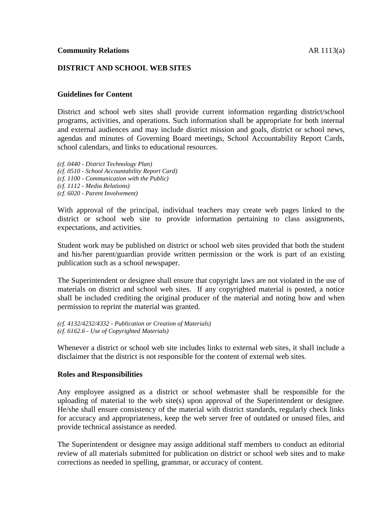## **DISTRICT AND SCHOOL WEB SITES**

## **Guidelines for Content**

District and school web sites shall provide current information regarding district/school programs, activities, and operations. Such information shall be appropriate for both internal and external audiences and may include district mission and goals, district or school news, agendas and minutes of Governing Board meetings, School Accountability Report Cards, school calendars, and links to educational resources.

*(cf. 0440 - District Technology Plan) (cf. 0510 - School Accountability Report Card) (cf. 1100 - Communication with the Public) (cf. 1112 - Media Relations) (cf. 6020 - Parent Involvement)*

With approval of the principal, individual teachers may create web pages linked to the district or school web site to provide information pertaining to class assignments, expectations, and activities.

Student work may be published on district or school web sites provided that both the student and his/her parent/guardian provide written permission or the work is part of an existing publication such as a school newspaper.

The Superintendent or designee shall ensure that copyright laws are not violated in the use of materials on district and school web sites. If any copyrighted material is posted, a notice shall be included crediting the original producer of the material and noting how and when permission to reprint the material was granted.

```
(cf. 4132/4232/4332 - Publication or Creation of Materials)
(cf. 6162.6 - Use of Copyrighted Materials)
```
Whenever a district or school web site includes links to external web sites, it shall include a disclaimer that the district is not responsible for the content of external web sites.

### **Roles and Responsibilities**

Any employee assigned as a district or school webmaster shall be responsible for the uploading of material to the web site(s) upon approval of the Superintendent or designee. He/she shall ensure consistency of the material with district standards, regularly check links for accuracy and appropriateness, keep the web server free of outdated or unused files, and provide technical assistance as needed.

The Superintendent or designee may assign additional staff members to conduct an editorial review of all materials submitted for publication on district or school web sites and to make corrections as needed in spelling, grammar, or accuracy of content.